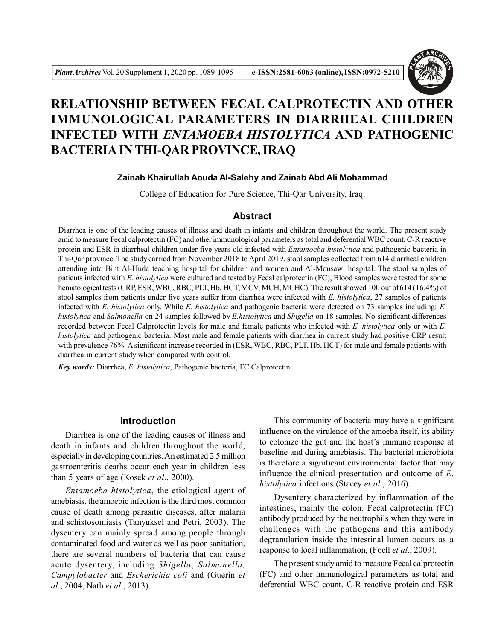

# **RELATIONSHIP BETWEEN FECAL CALPROTECTIN AND OTHER IMMUNOLOGICAL PARAMETERS IN DIARRHEAL CHILDREN INFECTED WITH** *ENTAMOEBA HISTOLYTICA* **AND PATHOGENIC BACTERIA IN THI-QAR PROVINCE, IRAQ**

# **Zainab Khairullah Aouda Al-Salehy and Zainab Abd Ali Mohammad**

College of Education for Pure Science, Thi-Qar University, Iraq.

#### **Abstract**

Diarrhea is one of the leading causes of illness and death in infants and children throughout the world. The present study amid to measure Fecal calprotectin (FC) and other immunological parameters as total and deferential WBC count, C-R reactive protein and ESR in diarrheal children under five years old infected with *Entamoeba histolytica* and pathogenic bacteria in Thi-Qar province. The study carried from November 2018 to April 2019, stool samples collected from 614 diarrheal children attending into Bint Al-Huda teaching hospital for children and women and Al-Mousawi hospital. The stool samples of patients infected with *E. histolytica* were cultured and tested by Fecal calprotectin (FC), Blood samples were tested for some hematological tests (CRP, ESR, WBC, RBC, PLT, Hb, HCT, MCV, MCH, MCHC). The result showed 100 out of 614 (16.4%) of stool samples from patients under five years suffer from diarrhea were infected with *E. histolytica*, 27 samples of patients infected with *E. histolytica* only. While *E. histolytica* and pathogenic bacteria were detected on 73 samples including: *E. histolytica* and *Salmonella* on 24 samples followed by *E.histolytica* and *Shigella* on 18 samples. No significant differences recorded between Fecal Calprotectin levels for male and female patients who infected with *E. histolytica* only or with *E. histolytica* and pathogenic bacteria. Most male and female patients with diarrhea in current study had positive CRP result with prevalence 76%. A significant increase recorded in (ESR, WBC, RBC, PLT, Hb, HCT) for male and female patients with diarrhea in current study when compared with control.

*Key words:* Diarrhea, *E. histolytica*, Pathogenic bacteria, FC Calprotectin.

## **Introduction**

Diarrhea is one of the leading causes of illness and death in infants and children throughout the world, especially in developing countries. An estimated 2.5 million gastroenteritis deaths occur each year in children less than 5 years of age (Kosek *et al*., 2000).

*Entamoeba histolytica*, the etiological agent of amebiasis, the amoebic infection is the third most common cause of death among parasitic diseases, after malaria and schistosomiasis (Tanyuksel and Petri, 2003). The dysentery can mainly spread among people through contaminated food and water as well as poor sanitation, there are several numbers of bacteria that can cause acute dysentery, including *Shigella*, *Salmonella, Campylobacter* and *Escherichia coli* and (Guerin *et al*., 2004, Nath *et al*., 2013).

This community of bacteria may have a significant influence on the virulence of the amoeba itself, its ability to colonize the gut and the host's immune response at baseline and during amebiasis. The bacterial microbiota is therefore a significant environmental factor that may influence the clinical presentation and outcome of *E*. *histolytica* infections (Stacey *et al*., 2016).

Dysentery characterized by inflammation of the intestines, mainly the colon. Fecal calprotectin (FC) antibody produced by the neutrophils when they were in challenges with the pathogens and this antibody degranulation inside the intestinal lumen occurs as a response to local inflammation, (Foell *et al*., 2009).

The present study amid to measure Fecal calprotectin (FC) and other immunological parameters as total and deferential WBC count, C-R reactive protein and ESR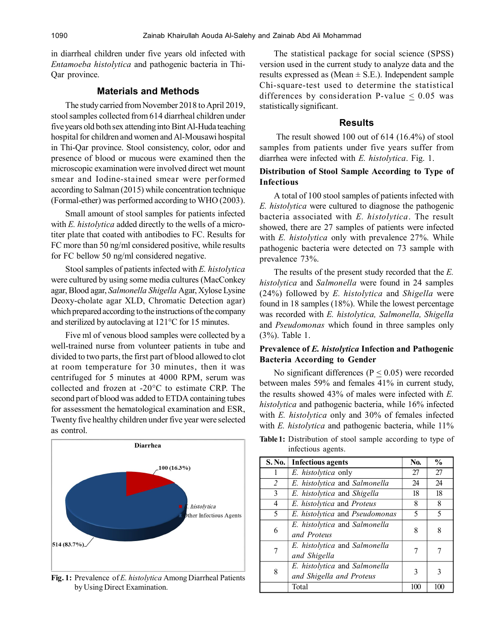in diarrheal children under five years old infected with *Entamoeba histolytica* and pathogenic bacteria in Thi-Qar province.

## **Materials and Methods**

The study carried from November 2018 to April 2019, stool samples collected from 614 diarrheal children under five years old both sex attending into Bint Al-Huda teaching hospital for children and women and Al-Mousawi hospital in Thi-Qar province. Stool consistency, color, odor and presence of blood or mucous were examined then the microscopic examination were involved direct wet mount smear and Iodine-stained smear were performed according to Salman (2015) while concentration technique (Formal-ether) was performed according to WHO (2003).

Small amount of stool samples for patients infected with *E. histolytica* added directly to the wells of a microtiter plate that coated with antibodies to FC. Results for FC more than 50 ng/ml considered positive, while results for FC bellow 50 ng/ml considered negative.

Stool samples of patients infected with *E. histolytica* were cultured by using some media cultures (MacConkey agar, Blood agar, *Salmonella Shigella* Agar, Xylose Lysine Deoxy-cholate agar XLD, Chromatic Detection agar) which prepared according to the instructions of the company and sterilized by autoclaving at 121°C for 15 minutes.

Five ml of venous blood samples were collected by a well-trained nurse from volunteer patients in tube and divided to two parts, the first part of blood allowed to clot at room temperature for 30 minutes, then it was centrifuged for 5 minutes at 4000 RPM, serum was collected and frozen at -20°C to estimate CRP. The second part of blood was added to ETDA containing tubes for assessment the hematological examination and ESR, Twenty five healthy children under five year were selected as control.



**Fig. 1:** Prevalence of *E. histolytica* Among Diarrheal Patients by Using Direct Examination.

The statistical package for social science (SPSS) version used in the current study to analyze data and the results expressed as (Mean  $\pm$  S.E.). Independent sample Chi-square-test used to determine the statistical differences by consideration P-value  $\leq 0.05$  was statistically significant.

#### **Results**

 The result showed 100 out of 614 (16.4%) of stool samples from patients under five years suffer from diarrhea were infected with *E. histolytica*. Fig. 1.

## **Distribution of Stool Sample According to Type of Infectious**

A total of 100 stool samples of patients infected with *E. histolytica* were cultured to diagnose the pathogenic bacteria associated with *E. histolytica*. The result showed, there are 27 samples of patients were infected with *E. histolytica* only with prevalence 27%. While pathogenic bacteria were detected on 73 sample with prevalence 73%.

The results of the present study recorded that the *E. histolytica* and *Salmonella* were found in 24 samples (24%) followed by *E. histolytica* and *Shigella* were found in 18 samples (18%). While the lowest percentage was recorded with *E. histolytica, Salmonella, Shigella* and *Pseudomonas* which found in three samples only (3%). Table 1.

# **Prevalence of** *E. histolytica* **Infection and Pathogenic Bacteria According to Gender**

No significant differences ( $P \le 0.05$ ) were recorded between males 59% and females 41% in current study, the results showed 43% of males were infected with *E. histolytica* and pathogenic bacteria, while 16% infected with *E. histolytica* only and 30% of females infected with *E. histolytica* and pathogenic bacteria, while 11%

| <b>S. No.</b>  | <b>Infectious agents</b>       | No. | $\frac{0}{0}$ |
|----------------|--------------------------------|-----|---------------|
| 1              | E. histolytica only            | 27  | 27            |
| $\overline{2}$ | E. histolytica and Salmonella  | 24  | 24            |
| 3              | E. histolytica and Shigella    | 18  | 18            |
| 4              | E. histolytica and Proteus     | 8   | 8             |
| 5              | E. histolytica and Pseudomonas | 5   | 5             |
| 6              | E. histolytica and Salmonella  | 8   | 8             |
|                | and Proteus                    |     |               |
|                | E. histolytica and Salmonella  | 7   |               |
|                | and Shigella                   |     |               |
| 8              | E. histolytica and Salmonella  | 3   |               |
|                | and Shigella and Proteus       |     |               |
|                | Total                          | 100 | 100           |
|                |                                |     |               |

**Table 1:** Distribution of stool sample according to type of infectious agents.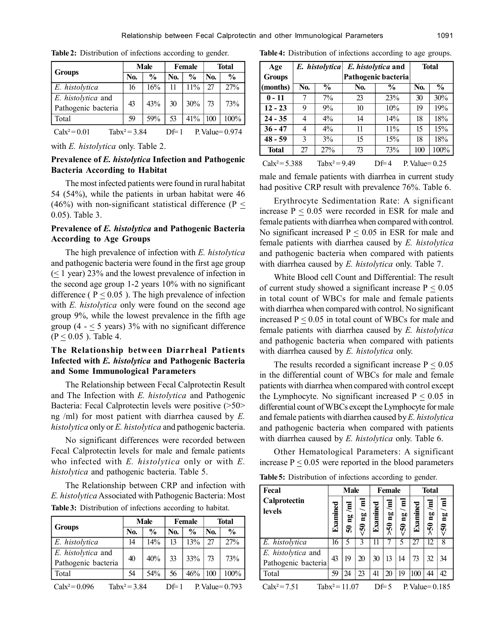|                                                                |     | Male          |            | Female        | <b>Total</b> |               |  |
|----------------------------------------------------------------|-----|---------------|------------|---------------|--------------|---------------|--|
| <b>Groups</b>                                                  | No. | $\frac{0}{0}$ | <b>No.</b> | $\frac{6}{9}$ | No.          | $\frac{6}{9}$ |  |
| E. histolytica                                                 | 16  | 16%           |            | $11\%$        | 27           | 27%           |  |
| E. histolytica and<br>Pathogenic bacteria                      | 43  | 43%           | 30         | 30%           | 73           | 73%           |  |
| Total                                                          | 59  | 59%           | 53         | 41%           | 100          | 100%          |  |
| Tab $x^2$ = 3.84<br>$Calx^2 = 0.01$<br>P. Value=0.974<br>Df= 1 |     |               |            |               |              |               |  |

**Table 2:** Distribution of infections according to gender.

|  |  | with E. histolytica only. Table 2. |  |
|--|--|------------------------------------|--|
|  |  |                                    |  |

# **Prevalence of** *E. histolytica* **Infection and Pathogenic Bacteria According to Habitat**

The most infected patients were found in rural habitat 54 (54%), while the patients in urban habitat were 46 (46%) with non-significant statistical difference (P  $\leq$ 0.05). Table 3.

# **Prevalence of** *E. histolytica* **and Pathogenic Bacteria According to Age Groups**

The high prevalence of infection with *E. histolytica* and pathogenic bacteria were found in the first age group  $($   $\leq$  1 year) 23% and the lowest prevalence of infection in the second age group 1-2 years 10% with no significant difference ( $P < 0.05$ ). The high prevalence of infection with *E. histolytica* only were found on the second age group 9%, while the lowest prevalence in the fifth age group (4 -  $\leq$  5 years) 3% with no significant difference  $(P \le 0.05)$ . Table 4.

# **The Relationship between Diarrheal Patients Infected with** *E. histolytica* **and Pathogenic Bacteria and Some Immunological Parameters**

The Relationship between Fecal Calprotectin Result and The Infection with *E. histolytica* and Pathogenic Bacteria: Fecal Calprotectin levels were positive (>50> ng /ml) for most patient with diarrhea caused by *E. histolytica* only or *E. histolytica* and pathogenic bacteria.

No significant differences were recorded between Fecal Calprotectin levels for male and female patients who infected with *E. histolytica* only or with *E. histolytica* and pathogenic bacteria. Table 5.

The Relationship between CRP and infection with *E. histolytica* Associated with Pathogenic Bacteria: Most **Table 3:** Distribution of infections according to habitat.

|                                           |     | Male          |     | Female        | <b>Total</b> |               |  |
|-------------------------------------------|-----|---------------|-----|---------------|--------------|---------------|--|
| <b>Groups</b>                             | No. | $\frac{0}{0}$ | No. | $\frac{0}{0}$ | No.          | $\frac{0}{0}$ |  |
| E. histolytica                            | 14  | 14%           | 13  | 13%           | 27           | 27%           |  |
| E. histolytica and<br>Pathogenic bacteria | 40  | 40%           | 33  | 33%           |              | 73%           |  |
| Total                                     | 54  | 54%           | 56  | 46%           | 100          | $100\%$       |  |
|                                           |     |               |     |               |              |               |  |

Calx<sup>2</sup>=0.096 Tabx<sup>2</sup>=3.84 Df=1 P. Value=0.793

**Table 4:** Distribution of infections according to age groups.

| Age              |     | E. histolytica   |     | E. histolytica and  | <b>Total</b>     |      |
|------------------|-----|------------------|-----|---------------------|------------------|------|
| <b>Groups</b>    |     |                  |     | Pathogenic bacteria |                  |      |
| (months)         | No. | $\frac{6}{9}$    | No. | $\frac{0}{0}$       |                  |      |
| $0 - 11$         |     | $7\%$            | 23  | 23%                 | 30               | 30%  |
| $12 - 23$        | 9   | 9%               | 10  | 10%                 | 19               | 19%  |
| $24 - 35$        | 4   | $4\%$            | 14  | 14%                 | 18               | 18%  |
| $36 - 47$        | 4   | $4\%$            | 11  | 11%                 | 15               | 15%  |
| $48 - 59$        | 3   | 3%               | 15  | 15%                 | 18               | 18%  |
| <b>Total</b>     | 27  | 27%              | 73  | 73%                 | 100              | 100% |
| $Calx^2 = 5.388$ |     | Tab $x^2$ = 9.49 |     | Df=4                | P. Value= $0.25$ |      |

male and female patients with diarrhea in current study had positive CRP result with prevalence 76%. Table 6.

Erythrocyte Sedimentation Rate: A significant increase  $P \le 0.05$  were recorded in ESR for male and female patients with diarrhea when compared with control. No significant increased  $P < 0.05$  in ESR for male and female patients with diarrhea caused by *E. histolytica* and pathogenic bacteria when compared with patients with diarrhea caused by *E. histolytica* only. Table 7.

White Blood cell Count and Differential: The result of current study showed a significant increase  $P \le 0.05$ in total count of WBCs for male and female patients with diarrhea when compared with control. No significant increased  $P \le 0.05$  in total count of WBCs for male and female patients with diarrhea caused by *E. histolytica* and pathogenic bacteria when compared with patients with diarrhea caused by *E. histolytica* only.

The results recorded a significant increase  $P < 0.05$ in the differential count of WBCs for male and female patients with diarrhea when compared with control except the Lymphocyte. No significant increased  $P < 0.05$  in differential count of WBCs except the Lymphocyte for male and female patients with diarrhea caused by *E. histolytica* and pathogenic bacteria when compared with patients with diarrhea caused by *E. histolytica* only. Table 6.

Other Hematological Parameters: A significant increase  $P \le 0.05$  were reported in the blood parameters

**Table 5:** Distribution of infections according to gender.

| Fecal                                     |                   | Male    |                                                     |              | Female                            |               |                    | Total                    |                             |
|-------------------------------------------|-------------------|---------|-----------------------------------------------------|--------------|-----------------------------------|---------------|--------------------|--------------------------|-----------------------------|
| Calprotectin<br>levels                    | Examined          | ρg<br>ಽ | $\overline{\mathbf{a}}$<br>$\overline{\mathbf{50}}$ | $\mathbb{E}$ | $\mathbf{E}$<br>Ρģ<br>$\tilde{5}$ | ᄐ<br>Πg<br>್ಯ | mined<br>E         | m/<br>ηg<br>$\mathbf{6}$ | $\mathbf{a}$<br>$\tilde{S}$ |
| E. histolytica                            | 16                | 5       |                                                     |              |                                   |               | 27                 | 12                       | 8                           |
| E. histolytica and<br>Pathogenic bacteria | 43                | 19      | 20                                                  | 30           | 13                                | 14            | 73                 | 32                       | 34                          |
| Total                                     | 59                | 24      | 23                                                  | 41           | 20                                | 19            | 100                | 44                       | 42                          |
| $Calx^2 = 7.51$                           | Tab $x^2$ = 11.07 |         |                                                     |              | $DF = 5$                          |               | P. Value $= 0.185$ |                          |                             |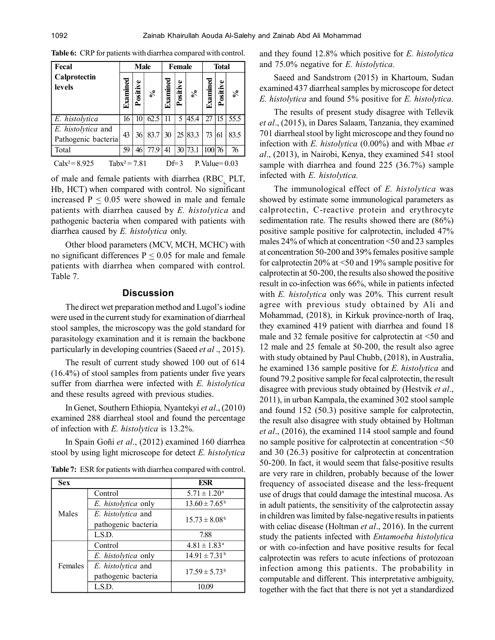| Fecal                                     |                 | <b>Male</b> |      |      | Female       | <b>Total</b> |          |          |                  |
|-------------------------------------------|-----------------|-------------|------|------|--------------|--------------|----------|----------|------------------|
| Calprotectin<br>levels                    | Examu           | Positive    | వ్   | Exam | Positive     | ళ            | Examined | Positive | వ                |
| E. histolytica                            | 16              | 10          | 62.5 |      | 5            | 45.4         |          | 15       | 55.5             |
| E. histolytica and<br>Pathogenic bacteria | 43              | 36          | 83.7 | 30   | 25           | 83.3         | 73       | 61       | 83.5             |
| Total                                     | 59              | 46          | 77.9 | 41   | 30           | 73.1         | 100 76   |          | 76               |
| $Calx^2 = 8.925$                          | $Tabx^2 = 7.81$ |             |      |      | $D \equiv 3$ |              |          |          | P. Value= $0.03$ |

**Table 6:** CRP for patients with diarrhea compared with control.

of male and female patients with diarrhea  $(RBC<sub>s</sub>, PLT,$ Hb, HCT) when compared with control. No significant increased  $P \leq 0.05$  were showed in male and female patients with diarrhea caused by *E. histolytica* and pathogenic bacteria when compared with patients with diarrhea caused by *E. histolytica* only.

Other blood parameters (MCV, MCH, MCHC) with no significant differences  $P \le 0.05$  for male and female patients with diarrhea when compared with control. Table 7.

# **Discussion**

The direct wet preparation method and Lugol's iodine were used in the current study for examination of diarrheal stool samples, the microscopy was the gold standard for parasitology examination and it is remain the backbone particularly in developing countries (Saeed *et al* ., 2015).

The result of current study showed 100 out of 614 (16.4%) of stool samples from patients under five years suffer from diarrhea were infected with *E. histolytica* and these results agreed with previous studies.

In Genet, Southern Ethiopia*,* Nyantekyi *et al*., (2010) examined 288 diarrheal stool and found the percentage of infection with *E. histolytica* is 13.2%.

In Spain Goñi *et al*., (2012) examined 160 diarrhea stool by using light microscope for detect *E. histolytica*

|  | <b>Table 7:</b> ESR for patients with diarrhea compared with control. |  |  |  |
|--|-----------------------------------------------------------------------|--|--|--|
|--|-----------------------------------------------------------------------|--|--|--|

| <b>Sex</b> |                     | ESR                          |
|------------|---------------------|------------------------------|
|            | Control             | $5.71 \pm 1.20^a$            |
|            | E. histolytica only | $13.60 \pm 7.65^{\circ}$     |
| Males      | E. histolytica and  |                              |
|            | pathogenic bacteria | $15.73 \pm 8.08^{\rm b}$     |
|            | LS.D.               | 7.88                         |
|            | Control             | $4.81 \pm 1.83$ <sup>a</sup> |
|            | E. histolytica only | $14.91 \pm 7.31^{\circ}$     |
| Females    | E. histolytica and  |                              |
|            | pathogenic bacteria | $17.59 \pm 5.73^b$           |
|            | LS.D.               | 10.09                        |

and they found 12.8% which positive for *E. histolytica* and 75.0% negative for *E. histolytica.*

Saeed and Sandstrom (2015) in Khartoum, Sudan examined 437 diarrheal samples by microscope for detect *E. histolytica* and found 5% positive for *E. histolytica.*

The results of present study disagree with Tellevik *et al*., (2015), in Dares Salaam, Tanzania, they examined 701 diarrheal stool by light microscope and they found no infection with *E. histolytica* (0.00%) and with Mbae *et al*., (2013), in Nairobi, Kenya, they examined 541 stool sample with diarrhea and found 225 (36.7%) sample infected with *E. histolytica.*

The immunological effect of *E. histolytica* was showed by estimate some immunological parameters as calprotectin, C-reactive protein and erythrocyte sedimentation rate. The results showed there are (86%) positive sample positive for calprotectin, included 47% males 24% of which at concentration <50 and 23 samples at concentration 50-200 and 39% females positive sample for calprotectin 20% at <50 and 19% sample positive for calprotectin at 50-200, the results also showed the positive result in co-infection was 66%, while in patients infected with *E. histolytica* only was 20%. This current result agree with previous study obtained by Ali and Mohammad, (2018), in Kirkuk province-north of Iraq, they examined 419 patient with diarrhea and found 18 male and 32 female positive for calprotectin at <50 and 12 male and 25 female at 50-200, the result also agree with study obtained by Paul Chubb, (2018), in Australia, he examined 136 sample positive for *E. histolytica* and found 79.2 positive sample for fecal calprotectin, the result disagree with previous study obtained by (Hestvik *et al*., 2011), in urban Kampala, the examined 302 stool sample and found 152 (50.3) positive sample for calprotectin, the result also disagree with study obtained by Holtman *et al*., (2016), the examined 114 stool sample and found no sample positive for calprotectin at concentration <50 and 30 (26.3) positive for calprotectin at concentration 50-200. In fact, it would seem that false-positive results are very rare in children, probably because of the lower frequency of associated disease and the less-frequent use of drugs that could damage the intestinal mucosa. As in adult patients, the sensitivity of the calprotectin assay in children was limited by false-negative results in patients with celiac disease (Holtman *et al*., 2016). In the current study the patients infected with *Entamoeba histolytica* or with co-infection and have positive results for fecal calprotectin was refers to acute infections of protozoan infection among this patients. The probability in computable and different. This interpretative ambiguity, together with the fact that there is not yet a standardized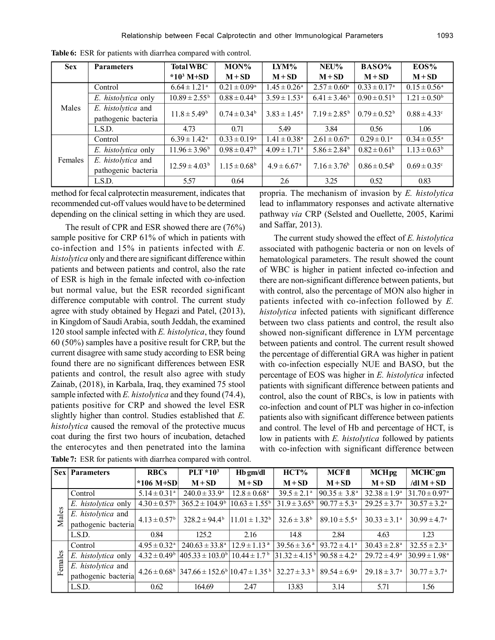| <b>Sex</b> | <b>Parameters</b>   | <b>Total WBC</b>              | MON%                    | LYM%                         | NEU%                         | BASO%                   | EOS%                         |
|------------|---------------------|-------------------------------|-------------------------|------------------------------|------------------------------|-------------------------|------------------------------|
|            |                     | * $10^3$ M+SD                 | $M + SD$                | $M + SD$                     | $M + SD$                     | $M + SD$                | $M + SD$                     |
|            | Control             | $6.64 \pm 1.21$ <sup>a</sup>  | $0.21 \pm 0.09^{\rm a}$ | $1.45 \pm 0.26^{\text{a}}$   | $2.57 \pm 0.60^{\text{a}}$   | $0.33 \pm 0.17^{\rm a}$ | $0.15 \pm 0.56^{\text{a}}$   |
| Males      | E. histolytica only | $10.89 \pm 2.55^{\mathrm{b}}$ | $0.88 \pm 0.44^b$       | $3.59 \pm 1.53^{\text{a}}$   | $6.41 \pm 3.46^b$            | $0.90 \pm 0.51^{\rm b}$ | $1.21 \pm 0.50^{\rm b}$      |
|            | E. histolytica and  | $11.8 \pm 5.49^b$             | $0.74 \pm 0.34^b$       | $3.83 \pm 1.45^{\text{a}}$   | $7.19 \pm 2.85^{\rm b}$      | $0.79 \pm 0.52^{\rm b}$ | $0.88 \pm 4.33$ <sup>c</sup> |
|            | pathogenic bacteria |                               |                         |                              |                              |                         |                              |
|            | LSD.                | 4.73                          | 0.71                    | 5.49                         | 3.84                         | 0.56                    | 1.06                         |
|            | Control             | $6.39 \pm 1.42^{\text{a}}$    | $0.33 \pm 0.19^a$       | $1.41 \pm 0.38$ <sup>a</sup> | $2.61 \pm 0.67$ <sup>a</sup> | $0.29 \pm 0.1^a$        | $0.34 \pm 0.55^{\text{a}}$   |
|            | E. histolytica only | $11.96 \pm 3.96^{\circ}$      | $0.98 \pm 0.47^{\rm b}$ | $4.09 \pm 1.71$ <sup>a</sup> | $5.86 \pm 2.84^b$            | $0.82 \pm 0.61^b$       | $1.13 \pm 0.63^b$            |
| Females    | E. histolytica and  | $12.59 \pm 4.03^{\circ}$      | $1.15 \pm 0.68^{\rm b}$ | $4.9 \pm 6.67$ <sup>a</sup>  | $7.16 \pm 3.76^b$            | $0.86 \pm 0.54^b$       | $0.69 \pm 0.35$ <sup>c</sup> |
|            | pathogenic bacteria |                               |                         |                              |                              |                         |                              |
|            | LS.D.               | 5.57                          | 0.64                    | 2.6                          | 3.25                         | 0.52                    | 0.83                         |

**Table 6:** ESR for patients with diarrhea compared with control.

method for fecal calprotectin measurement, indicates that recommended cut-off values would have to be determined depending on the clinical setting in which they are used.

The result of CPR and ESR showed there are (76%) sample positive for CRP 61% of which in patients with co-infection and 15% in patients infected with *E. histolytica* only and there are significant difference within patients and between patients and control, also the rate of ESR is high in the female infected with co-infection but normal value, but the ESR recorded significant difference computable with control. The current study agree with study obtained by Hegazi and Patel, (2013), in Kingdom of Saudi Arabia, south Jeddah, the examined 120 stool sample infected with *E. histolytica*, they found 60 (50%) samples have a positive result for CRP, but the current disagree with same study according to ESR being found there are no significant differences between ESR patients and control, the result also agree with study Zainab, (2018), in Karbala, Iraq, they examined 75 stool sample infected with *E. histolytica* and they found (74.4), patients positive for CRP and showed the level ESR slightly higher than control. Studies established that *E. histolytica* caused the removal of the protective mucus coat during the first two hours of incubation, detached the enterocytes and then penetrated into the lamina

| propria. The mechanism of invasion by E. histolytica    |
|---------------------------------------------------------|
| lead to inflammatory responses and activate alternative |
| pathway via CRP (Selsted and Ouellette, 2005, Karimi    |
| and Saffar, $2013$ ).                                   |
| The current study showed the effect of E. histolytica   |

The current study showed the effect of *E. histolytica* associated with pathogenic bacteria or non on levels of hematological parameters. The result showed the count of WBC is higher in patient infected co-infection and there are non-significant difference between patients, but with control, also the percentage of MON also higher in patients infected with co-infection followed by *E. histolytica* infected patients with significant difference between two class patients and control, the result also showed non-significant difference in LYM percentage between patients and control. The current result showed the percentage of differential GRA was higher in patient with co-infection especially NUE and BASO, but the percentage of EOS was higher in *E. histolytica* infected patients with significant difference between patients and control, also the count of RBCs, is low in patients with co-infection and count of PLT was higher in co-infection patients also with significant difference between patients and control. The level of Hb and percentage of HCT, is low in patients with *E. histolytica* followed by patients with co-infection with significant difference between

|           | <b>Sex Parameters</b> | <b>RBCs</b>                  | $PLT * 103$                                                                 | Hb gm/dl                     | $HCT\%$                         | <b>MCFfl</b>               | <b>MCH<sub>pg</sub></b>    | <b>MCHC</b> gm                |  |
|-----------|-----------------------|------------------------------|-----------------------------------------------------------------------------|------------------------------|---------------------------------|----------------------------|----------------------------|-------------------------------|--|
|           |                       | $*106$ M+SD                  | $M + SD$                                                                    | $M + SD$                     | $M + SD$                        | $M + SD$                   | $M + SD$                   | /dl $M + SD$                  |  |
|           | Control               | $5.14 \pm 0.31$ <sup>a</sup> | $240.0 \pm 33.9^{\circ}$                                                    | $12.8 \pm 0.68$ <sup>a</sup> | $39.5 \pm 2.1^{\circ}$          | $90.35 \pm 3.8^{\text{a}}$ | $32.38 \pm 1.9^{\circ}$    | $31.70 \pm 0.97$ <sup>a</sup> |  |
| Males     | E. histolytica only   | $4.30 \pm 0.57^{\rm b}$      | $365.2 \pm 104.9^{\circ}$                                                   | $10.63 \pm 1.55^{\circ}$     | $31.9 \pm 3.65^{\rm b}$         | $90.77 \pm 5.3^{\text{a}}$ | $29.25 \pm 3.7^{\circ}$    | $30.57 \pm 3.2^{\text{a}}$    |  |
|           | E. histolytica and    | $4.13 \pm 0.57^{\rm b}$      | $328.2 \pm 94.4^{\circ}$                                                    | $11.01 \pm 1.32^b$           | $32.6 \pm 3.8^{\rm b}$          | $89.10 \pm 5.5^{\text{a}}$ | $30.33 \pm 3.1^{\circ}$    |                               |  |
|           | pathogenic bacteria   |                              |                                                                             |                              |                                 |                            |                            | $30.99 \pm 4.7^{\circ}$       |  |
|           | L.S.D.                | 0.84                         | 125.2                                                                       | 2.16                         | 14.8                            | 2.84                       | 4.63                       | 1.23                          |  |
|           | Control               | $4.95 \pm 0.32$ <sup>a</sup> | $240.63 \pm 33.8^{\circ}$                                                   | $12.9 \pm 1.13^{\text{a}}$   | $39.56 \pm 3.6^{\text{a}}$      | $93.72 \pm 4.1^{\circ}$    | $30.43 \pm 2.8^{\text{a}}$ | $32.55 \pm 2.3^{\circ}$       |  |
| emales    | E. histolytica only   | $4.32 \pm 0.49^b$            | $ 405.33 \pm 103.0^{\circ} $                                                | $10.44 \pm 1.7^{\mathrm{b}}$ | $31.32 \pm 4.15^{\,\mathrm{b}}$ | $90.58 \pm 4.2^{\text{a}}$ | $29.72 \pm 4.9^{\circ}$    | $30.99 \pm 1.98^{\text{a}}$   |  |
|           | E. histolytica and    | $4.26 \pm 0.68^{\circ}$      | $347.66 \pm 152.6^{\circ}$ $10.47 \pm 1.35^{\circ}$ $32.27 \pm 3.3^{\circ}$ |                              |                                 | $89.54 \pm 6.9^{\circ}$    | $29.18 \pm 3.7^{\circ}$    | $30.77 \pm 3.7^{\circ}$       |  |
| <u>іт</u> | pathogenic bacteria   |                              |                                                                             |                              |                                 |                            |                            |                               |  |
|           | L.S.D.                | 0.62                         | 164.69                                                                      | 2.47                         | 13.83                           | 3.14                       | 5.71                       | 1.56                          |  |

**Table 7:** ESR for patients with diarrhea compared with control.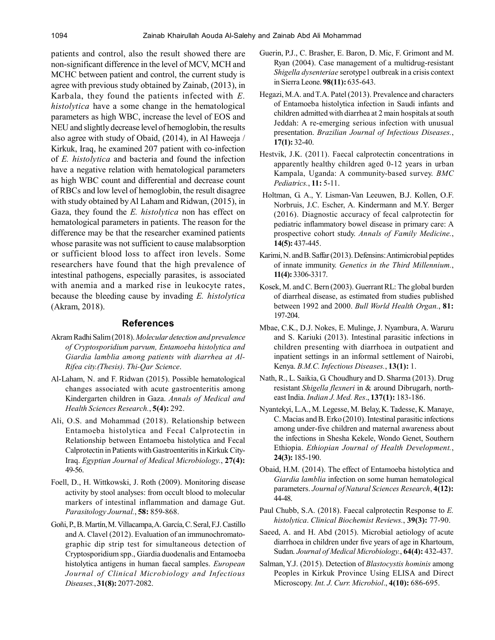patients and control, also the result showed there are non-significant difference in the level of MCV, MCH and MCHC between patient and control, the current study is agree with previous study obtained by Zainab, (2013), in Karbala, they found the patients infected with *E. histolytica* have a some change in the hematological parameters as high WBC, increase the level of EOS and NEU and slightly decrease level of hemoglobin, the results also agree with study of Obaid, (2014), in Al Haweeja / Kirkuk, Iraq, he examined 207 patient with co-infection of *E. histolytica* and bacteria and found the infection have a negative relation with hematological parameters as high WBC count and differential and decrease count of RBCs and low level of hemoglobin, the result disagree with study obtained by Al Laham and Ridwan, (2015), in Gaza, they found the *E. histolytica* non has effect on hematological parameters in patients. The reason for the difference may be that the researcher examined patients whose parasite was not sufficient to cause malabsorption or sufficient blood loss to affect iron levels. Some researchers have found that the high prevalence of intestinal pathogens, especially parasites, is associated with anemia and a marked rise in leukocyte rates, because the bleeding cause by invading *E. histolytica* (Akram, 2018).

#### **References**

- Akram Radhi Salim (2018). *Molecular detection and prevalence of Cryptosporidium parvum, Entamoeba histolytica and Giardia lamblia among patients with diarrhea at Al-Rifea city.(Thesis)*. *Thi-Qar Science*.
- Al-Laham, N. and F. Ridwan (2015). Possible hematological changes associated with acute gastroenteritis among Kindergarten children in Gaza. *Annals of Medical and Health Sciences Research.*, **5(4):** 292.
- Ali, O.S. and Mohammad (2018). Relationship between Entamoeba histolytica and Fecal Calprotectin in Relationship between Entamoeba histolytica and Fecal Calprotectin in Patients with Gastroenteritis in Kirkuk City-Iraq. *Egyptian Journal of Medical Microbiology.*, **27(4):** 49-56.
- Foell, D., H. Wittkowski, J. Roth (2009). Monitoring disease activity by stool analyses: from occult blood to molecular markers of intestinal inflammation and damage Gut. *Parasitology Journal.*, **58:** 859-868.
- Goñi, P., B. Martín, M. Villacampa, A. García, C. Seral, F.J. Castillo and A. Clavel (2012). Evaluation of an immunochromatographic dip strip test for simultaneous detection of Cryptosporidium spp., Giardia duodenalis and Entamoeba histolytica antigens in human faecal samples. *European Journal of Clinical Microbiology and Infectious Diseases.*, **31(8):** 2077-2082.
- Guerin, P.J., C. Brasher, E. Baron, D. Mic, F. Grimont and M. Ryan (2004). Case management of a multidrug-resistant *Shigella dysenteriae* serotype1 outbreak in a crisis context in Sierra Leone. **98(11):** 635-643.
- Hegazi, M.A. and T.A. Patel (2013). Prevalence and characters of Entamoeba histolytica infection in Saudi infants and children admitted with diarrhea at 2 main hospitals at south Jeddah: A re-emerging serious infection with unusual presentation. *Brazilian Journal of Infectious Diseases.*, **17(1):** 32-40.
- Hestvik, J.K. (2011). Faecal calprotectin concentrations in apparently healthy children aged 0-12 years in urban Kampala, Uganda: A community-based survey. *BMC Pediatrics.*, **11:** 5-11.
- Holtman, G. A., Y. Lisman-Van Leeuwen, B.J. Kollen, O.F. Norbruis, J.C. Escher, A. Kindermann and M.Y. Berger (2016). Diagnostic accuracy of fecal calprotectin for pediatric inflammatory bowel disease in primary care: A prospective cohort study. *Annals of Family Medicine.*, **14(5):** 437-445.
- Karimi, N. and B. Saffar (2013). Defensins: Antimicrobial peptides of innate immunity. *Genetics in the Third Millennium.*, **11(4):** 3306-3317.
- Kosek, M. and C. Bern (2003). Guerrant RL: The global burden of diarrheal disease, as estimated from studies published between 1992 and 2000. *Bull World Health Organ.*, **81:** 197-204.
- Mbae, C.K., D.J. Nokes, E. Mulinge, J. Nyambura, A. Waruru and S. Kariuki (2013). Intestinal parasitic infections in children presenting with diarrhoea in outpatient and inpatient settings in an informal settlement of Nairobi, Kenya. *B.M.C. Infectious Diseases.*, **13(1):** 1.
- Nath, R., L. Saikia, G. Choudhury and D. Sharma (2013). Drug resistant *Shigella flexneri* in & around Dibrugarh, northeast India. *Indian J. Med. Res*., **137(1):** 183-186.
- Nyantekyi, L.A., M. Legesse, M. Belay, K. Tadesse, K. Manaye, C. Macias and B. Erko (2010). Intestinal parasitic infections among under-five children and maternal awareness about the infections in Shesha Kekele, Wondo Genet, Southern Ethiopia. *Ethiopian Journal of Health Development.*, **24(3):** 185-190.
- Obaid, H.M. (2014). The effect of Entamoeba histolytica and *Giardia lamblia* infection on some human hematological parameters. *Journal of Natural Sciences Research*, **4(12):** 44-48.
- Paul Chubb, S.A. (2018). Faecal calprotectin Response to *E. histolytica*. *Clinical Biochemist Reviews.*, **39(3):** 77-90.
- Saeed, A. and H. Abd (2015). Microbial aetiology of acute diarrhoea in children under five years of age in Khartoum, Sudan. *Journal of Medical Microbiology.*, **64(4):** 432-437.
- Salman, Y.J. (2015). Detection of *Blastocystis hominis* among Peoples in Kirkuk Province Using ELISA and Direct Microscopy*. Int. J. Curr. Microbiol*., **4(10):** 686-695.